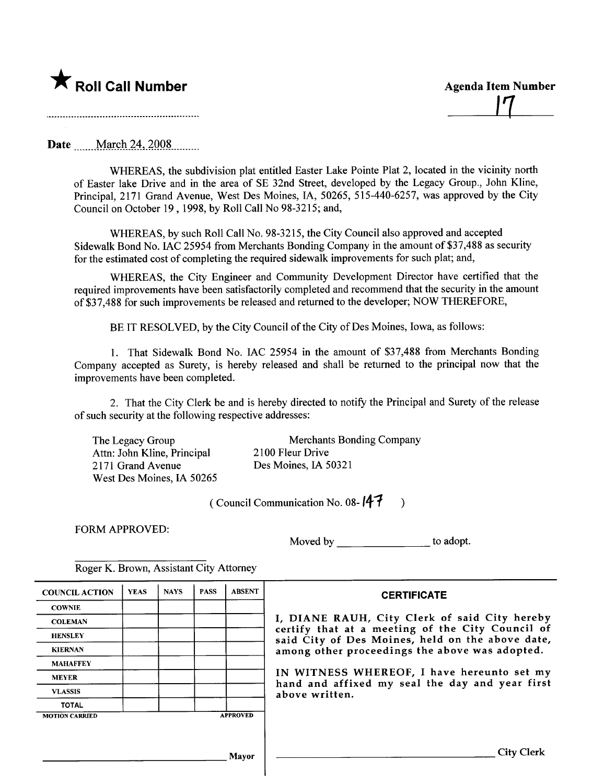

 $\perp$ 

Date \_\_\_\_uuM\_wç-n\_2:1,)QmL\_\_\_\_\_

WHEREAS, the subdivision plat entitled Easter Lake Pointe Plat 2, located in the vicinity north of Easter lake Drive and in the area of SE 32nd Street, developed by the Legacy Group., John Kline, Principal, 2171 Grand Avenue, West Des Moines, lA, 50265, 515-440-6257, was approved by the City Council on October 19, 1998, by Roll Call No 98-3215; and,

WHEREAS, by such Roll Call No. 98-3215, the City Council also approved and accepted Sidewalk Bond No. lAC 25954 from Merchants Bonding Company in the amount of \$37,488 as security for the estimated cost of completing the required sidewalk improvements for such plat; and,

WHREAS, the City Engineer and Community Development Director have certified that the required improvements have been satisfactorily completed and recommend that the security in the amount of\$37,488 for such improvements be released and returned to the developer; NOW THEREFORE,

BE IT RESOLVED, by the City Council of the City of Des Moines, Iowa, as follows:

1. That Sidewalk Bond No. lAC 25954 in the amount of \$37,488 from Merchants Bonding Company accepted as Surety, is hereby released and shall be returned to the principal now that the improvements have been completed.

2. That the City Clerk be and is hereby directed to notify the Principal and Surety of the release of such security at the following respective addresses:

The Legacy Group Attn: John Kline, Principal 2171 Grand Avenue West Des Moines, IA 50265

Merchants Bonding Company 2100 Fleur Drive Des Moines, IA 50321

(Council Communication No. 08- $(47)$ )

FORM APPROVED:

Moved by to adopt.

| <b>COUNCIL ACTION</b> | <b>YEAS</b> | <b>NAYS</b> | <b>PASS</b> | <b>ABSENT</b>   | <b>CERTIFICATE</b>                                                                                                                                   |  |  |  |  |
|-----------------------|-------------|-------------|-------------|-----------------|------------------------------------------------------------------------------------------------------------------------------------------------------|--|--|--|--|
| <b>COWNIE</b>         |             |             |             |                 |                                                                                                                                                      |  |  |  |  |
| <b>COLEMAN</b>        |             |             |             |                 | I, DIANE RAUH, City Clerk of said City hereby                                                                                                        |  |  |  |  |
| <b>HENSLEY</b>        |             |             |             |                 | certify that at a meeting of the City Council o<br>said City of Des Moines, held on the above date<br>among other proceedings the above was adopted. |  |  |  |  |
| <b>KIERNAN</b>        |             |             |             |                 |                                                                                                                                                      |  |  |  |  |
| <b>MAHAFFEY</b>       |             |             |             |                 |                                                                                                                                                      |  |  |  |  |
| <b>MEYER</b>          |             |             |             |                 | IN WITNESS WHEREOF, I have hereunto set m<br>hand and affixed my seal the day and year firs                                                          |  |  |  |  |
| <b>VLASSIS</b>        |             |             |             |                 | above written.                                                                                                                                       |  |  |  |  |
| <b>TOTAL</b>          |             |             |             |                 |                                                                                                                                                      |  |  |  |  |
| <b>MOTION CARRIED</b> |             |             |             | <b>APPROVED</b> |                                                                                                                                                      |  |  |  |  |
|                       |             |             |             |                 |                                                                                                                                                      |  |  |  |  |
|                       |             |             |             | Mavor           | <b>City Clerk</b>                                                                                                                                    |  |  |  |  |

Roger K. Brown, Assistant City Attorney

## **CERTIFICATE**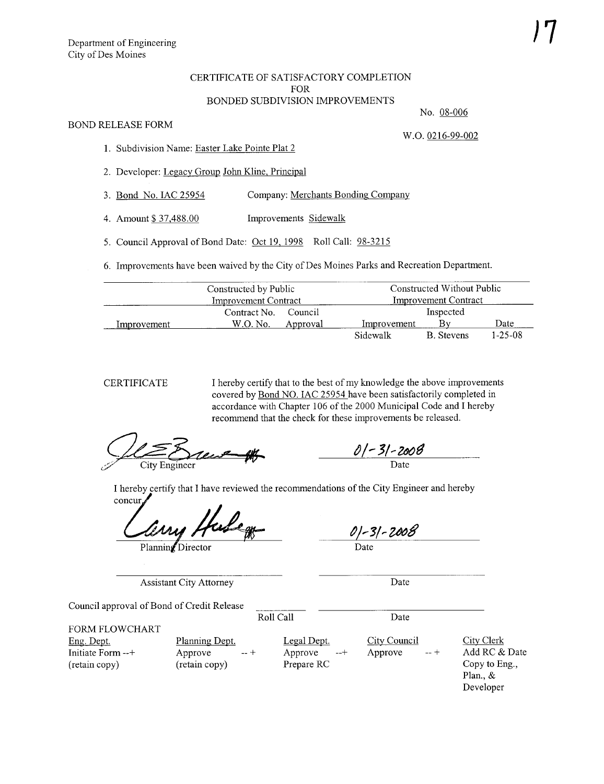## CERTIFICATE OF SATISFACTORY COMPLETION FOR BONDED SUBDIVISION IMPROVEMENTS

## BOND RELEASE FORM

W.O. 0216-99-002

No. 08-006

- 1. Subdivision Name: Easter Lake Pointe Plat 2
- 2. Developer: Legacy Group John Kline, Principal
- 3. Bond No. lAC 25954 Company: Merchants Bonding Company
- 4. Amount \$ 37,488.00 Improvements Sidewalk
- 5. Council Approval of Bond Date: Oct 19. 1998 Roll Call: 98-3215
- 6. Improvements have been waived by the City of Des Moines Parks and Recreation Department.

|             | Constructed by Public       |          | Constructed Without Public  |            |               |  |
|-------------|-----------------------------|----------|-----------------------------|------------|---------------|--|
|             | <b>Improvement Contract</b> |          | <b>Improvement Contract</b> |            |               |  |
|             | Contract No.                | Council  | Inspected                   |            |               |  |
| Improvement | W.O. No.                    | Approval | Improvement                 |            | Date          |  |
|             |                             |          | Sidewalk                    | B. Stevens | $1 - 25 - 08$ |  |

CERTIFICATE

I hereby certify that to the best of my knowledge the above improvements covered by Bond NO. lAC 25954 have been satisfactorily completed in accordance with Chapter 106 of the 2000 Municipal Code and I hereby recommend that the check for these improvements be released.

DE Execut #

01-31-2008 Date

I hereby certify that I have reviewed the recommendations of the City Engineer and hereby concur

Planning Director

0) - 31 - 2008 Date

Assistant City Attorney

Date

Date

Council approval of Bond of Credit Release

Roll Call

FORM FLOWCHART

Eng. Dept. Initiate Form --+ (retain copy)

Planning Dept. Approve  $-+$ (retain copy)

Legal Dept. Approve --+ Prepare RC

City Council Approve

City Clerk Add RC & Date Copy to Eng., Plan., & Developer